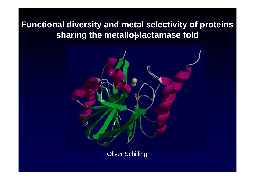# **Functional diversity and metal selectivity of proteins sharing the metallo-**β**-lactamase fold**



Oliver Schilling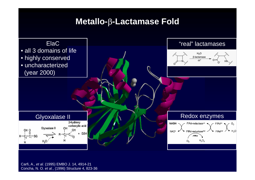## **Metallo-**β**-Lactamase Fold**



Carfi, A., *et al.* (1995) EMBO J. 14, 4914-21 Concha, N. O. *et al.*, (1996) Structure 4, 823-36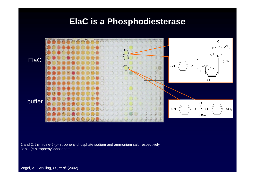### **ElaC is a Phosphodiesterase**



1 and 2: thymidine-5'-*p*-nitrophenylphosphate sodium and ammonium salt, respectively 3: bis ( *p*-nitrop henyl)phosphate

Vogel, A., Schilling, O., *et al.* (2002)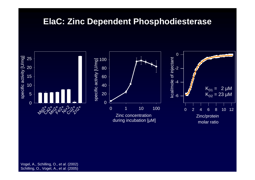## **ElaC: Zinc Dependent Phosphodiesterase**



Vogel, A., Schilling, O., *et al.* (2002) Schilling, O., Vogel, A., *et al.* (2005)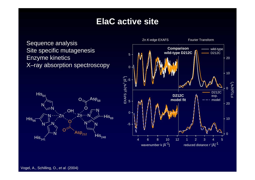# **ElaC active site**

Sequence analysis Site specific mutagenesis Enzyme kinetics X–ray absorption spectroscopy



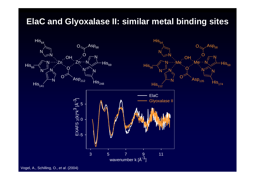# **ElaC and Glyoxalase II: similar metal binding sites**



Vogel, A., Schilling, O., *et al*. (2004)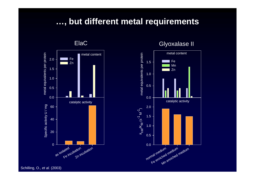#### **…, but different metal requirements**

metal equivalents per protein metal equivalents per protein m etal c ontent 2.0 Fe Zn 1.5 1.0 0.5 0.0 c atalytic activity Specific activity U / mg Specific activity U / mg 60 40 20 0 Fe incubation Zn incubation as isolated

ElaC

Glyoxalase II



Schilling, O., *et al.* (2003)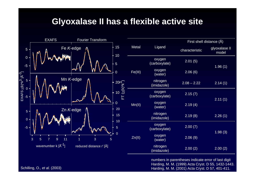# **Glyoxalase II has a flexible active site**



numbers i n parentheses indicate error of l ast digit Harding, M. M. (1999) Acta Cryst. D 55, 1 432-1443. Schilling, O., *et al.* (2003) **Harding, M. M. (2001) Acta Cryst. D 57, 401-411.** And in the set of the set of the set of the set of the set of the set of the set of the set of the set of the set of the set of the set of t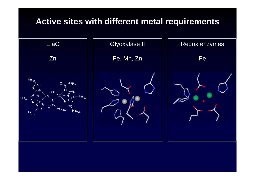## **Active sites with different metal requirements**

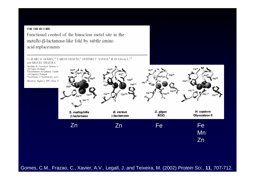#### **FOR THE RECORD**

Functional control of the binuclear metal site in the metallo-β-lactamase-like fold by subtle amino acid replacements

CLÁUDIO M. GOMES,<sup>1,2</sup> CARLOS FRAZÃO,<sup>1</sup> ANTÓNIO V. XAVIER,<sup>1</sup> JEAN LEGALL,<sup>1,3</sup> AND MIGUEL TEIXEIRA<sup>1</sup>



Gomes, C.M., Frazao, C., Xavier, A.V., Legall, J. and Teixeira, M. (2002) *Protein Sci.*, **11**, 707-712.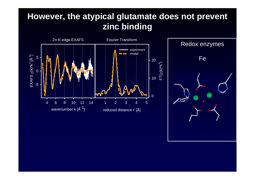# **However, the atypical glutamate does not prevent zinc binding**



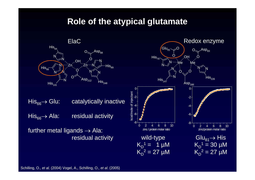#### **Role of the atypical glutamate**



His $_{66}\rightarrow$ catalytically inactive His $_{66}\rightarrow$ residual activity

further metal ligands  $\rightarrow$  Ala:



Schilling, O., *et al.* (2004) Vogel, A., Schilling, O., *et al*. ( 2005)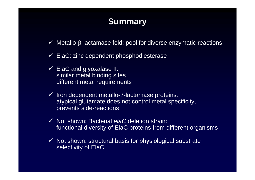# **Summary**

- $\checkmark$  Metallo-β-lactamase fold: pool for diverse enzymatic reactions
- $\checkmark$  ElaC: zinc dependent phosphodiesterase
- $\checkmark$  ElaC and glyoxalase II: similar metal binding sites different metal requirements
- $\checkmark$  Iron dependent metallo-β-lactamase proteins: atypical glutamate does not control metal specificity, prevents side-reactions
- 9 Not shown: Bacterial *elaC* deletion strain: functional diversity of ElaC proteins from different organisms
- $\checkmark$  Not shown: structural basis for physiological substrate selectivity of ElaC